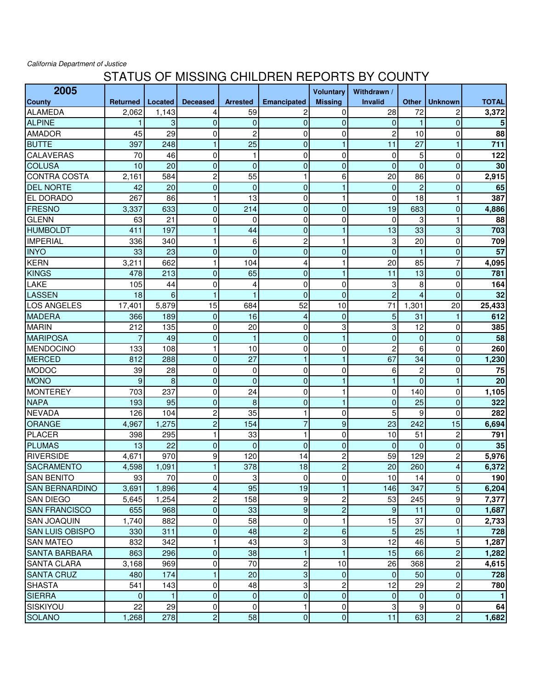California Department of Justice

## STATUS OF MISSING CHILDREN REPORTS BY COUNTY

| 2005                   |                 |         |                 |                 |                         | <b>Voluntary</b> | Withdrawn /      |                |                |              |
|------------------------|-----------------|---------|-----------------|-----------------|-------------------------|------------------|------------------|----------------|----------------|--------------|
| <b>County</b>          | <b>Returned</b> | Located | <b>Deceased</b> | <b>Arrested</b> | <b>Emancipated</b>      | <b>Missing</b>   | <b>Invalid</b>   | <b>Other</b>   | <b>Unknown</b> | <b>TOTAL</b> |
| ALAMEDA                | 2,062           | 1,143   | 4               | 59              | $\overline{c}$          | 0                | 28               | 72             | 2              | 3,372        |
| <b>ALPINE</b>          |                 | 3       | $\mathbf 0$     | $\mathbf 0$     | $\mathbf 0$             | $\mathbf{0}$     | $\mathbf{0}$     | 1              | $\overline{0}$ | 5            |
| <b>AMADOR</b>          | 45              | 29      | 0               | $\overline{c}$  | $\mathbf 0$             | $\mathbf 0$      | $\overline{c}$   | 10             | 0              | 88           |
| <b>BUTTE</b>           | 397             | 248     | 1               | 25              | $\mathbf 0$             | 1                | 11               | 27             | 1              | 711          |
| <b>CALAVERAS</b>       | 70              | 46      | $\pmb{0}$       | 1               | 0                       | $\mathbf 0$      | 0                | 5              | 0              | 122          |
| <b>COLUSA</b>          | 10              | 20      | $\pmb{0}$       | $\mathbf 0$     | $\mathbf 0$             | $\pmb{0}$        | $\overline{0}$   | $\mathbf 0$    | $\overline{0}$ | 30           |
| <b>CONTRA COSTA</b>    | 2,161           | 584     | $\overline{c}$  | 55              | $\mathbf{1}$            | 6                | 20               | 86             | 0              | 2,915        |
| <b>DEL NORTE</b>       | 42              | 20      | $\mathbf 0$     | $\overline{0}$  | $\mathbf 0$             | $\mathbf{1}$     | $\overline{0}$   | $\overline{c}$ | $\overline{0}$ | 65           |
| <b>EL DORADO</b>       | 267             | 86      | 1               | 13              | 0                       | 1                | 0                | 18             | 1              | 387          |
| <b>FRESNO</b>          | 3,337           | 633     | $\mathbf 0$     | 214             | $\mathbf 0$             | $\overline{0}$   | 19               | 683            | $\overline{0}$ | 4,886        |
| <b>GLENN</b>           | 63              | 21      | $\mathbf 0$     | 0               | 0                       | $\mathbf 0$      | 0                | 3              | 1              | 88           |
| <b>HUMBOLDT</b>        | 411             | 197     | 1               | 44              | $\mathbf 0$             | 1                | 13               | 33             | 3              | 703          |
| <b>IMPERIAL</b>        | 336             | 340     | 1               | 6               | $\overline{c}$          | $\mathbf 1$      | 3                | 20             | 0              | 709          |
| <b>INYO</b>            | 33              | 23      | $\mathbf 0$     | $\overline{0}$  | $\mathbf 0$             | $\overline{0}$   | $\overline{0}$   | 1              | $\overline{0}$ | 57           |
| <b>KERN</b>            | 3,211           | 662     | 1               | 104             | 4                       | 1                | 20               | 85             | $\overline{7}$ | 4,095        |
| KINGS                  | 478             | 213     | $\pmb{0}$       | 65              | $\mathbf 0$             | 1                | 11               | 13             | $\overline{0}$ | 781          |
| LAKE                   | 105             | 44      | 0               | 4               | 0                       | 0                | 3                | 8              | 0              | 164          |
| LASSEN                 | 18              | 6       | $\mathbf{1}$    | 1               | $\overline{0}$          | $\mathbf{0}$     | $\overline{2}$   | 4              | $\overline{0}$ | 32           |
| <b>LOS ANGELES</b>     | 17,401          | 5,879   | 15              | 684             | 52                      | 10               | 71               | 1,301          | 20             | 25,433       |
| <b>MADERA</b>          | 366             | 189     | $\mathbf 0$     | 16              | 4                       | $\mathbf{0}$     | 5                | 31             | 1              | 612          |
| <b>MARIN</b>           | 212             | 135     | 0               | 20              | 0                       | 3                | 3                | 12             | 0              | 385          |
| <b>MARIPOSA</b>        |                 | 49      | $\pmb{0}$       | $\mathbf{1}$    | $\mathbf 0$             | $\mathbf{1}$     | $\overline{0}$   | $\mathbf{0}$   | $\overline{0}$ | 58           |
| <b>MENDOCINO</b>       | 133             | 108     | $\mathbf{1}$    | 10              | 0                       | 0                | $\overline{c}$   | 6              | 0              | 260          |
| <b>MERCED</b>          | 812             | 288     | $\pmb{0}$       | 27              | $\mathbf{1}$            | 1                | 67               | 34             | $\overline{0}$ | 1,230        |
| <b>MODOC</b>           | 39              | 28      | 0               | 0               | 0                       | 0                | 6                | $\overline{c}$ | 0              | 75           |
| <b>MONO</b>            | 9               | 8       | $\mathbf 0$     | $\overline{0}$  | $\mathbf 0$             | 1                | 1                | $\overline{0}$ |                | 20           |
| <b>MONTEREY</b>        | 703             | 237     | $\mathbf 0$     | 24              | 0                       | 1                | 0                | 140            | $\Omega$       | 1,105        |
| <b>NAPA</b>            | 193             | 95      | $\mathbf 0$     | 8               | $\mathbf 0$             | $\mathbf{1}$     | $\overline{0}$   | 25             | $\overline{0}$ | 322          |
| <b>NEVADA</b>          | 126             | 104     | 2               | 35              | 1                       | $\mathbf 0$      | 5                | 9              | 0              | 282          |
| ORANGE                 | 4,967           | 1,275   | $\overline{c}$  | 154             | $\overline{7}$          | $\boldsymbol{9}$ | 23               | 242            | 15             | 6,694        |
| PLACER                 | 398             | 295     | 1               | 33              | 1                       | 0                | 10               | 51             | $\overline{c}$ | 791          |
| <b>PLUMAS</b>          | 13              | 22      | $\mathbf 0$     | $\overline{0}$  | $\mathbf 0$             | $\mathbf 0$      | $\overline{0}$   | $\mathbf{0}$   | $\overline{0}$ | 35           |
| RIVERSIDE              | 4,671           | 970     | 9               | 120             | 14                      | $\overline{c}$   | 59               | 129            | 2              | 5,976        |
| <b>SACRAMENTO</b>      | 4,598           | 1,091   | $\mathbf{1}$    | 378             | 18                      | $\overline{c}$   | 20               | 260            | 4              | 6,372        |
| <b>SAN BENITO</b>      | 93              | 70      | 0               | 3               | 0                       | 0                | 10               | 14             | $\overline{0}$ | 190          |
| <b>SAN BERNARDINO</b>  | 3,691           | 1,896   | 4               | 95              | 19                      | 1                | 146              | 347            | 5              | 6,204        |
| <b>SAN DIEGO</b>       | 5,645           | 1,254   | 2               | 158             | 9                       | $\overline{c}$   | 53               | 245            | 9              | 7,377        |
| <b>SAN FRANCISCO</b>   | 655             | 968     | $\pmb{0}$       | 33              | 9                       | $\overline{c}$   | $\boldsymbol{9}$ | 11             | 0              | 1,687        |
| <b>SAN JOAQUIN</b>     | 1,740           | 882     | 0               | 58              | 0                       | 1                | 15               | 37             | 0              | 2,733        |
| <b>SAN LUIS OBISPO</b> | 330             | 311     | $\pmb{0}$       | 48              | $\overline{c}$          | 6                | 5                | 25             |                | 728          |
| <b>SAN MATEO</b>       | 832             | 342     | 1               | 43              | 3                       | 3                | 12               | 46             | 5              | 1,287        |
| <b>SANTA BARBARA</b>   | 863             | 296     | $\mathbf 0$     | 38              | $\mathbf{1}$            | $\mathbf{1}$     | 15               | 66             | $\overline{c}$ | 1,282        |
| <b>SANTA CLARA</b>     | 3,168           | 969     | 0               | 70              | $\overline{\mathbf{c}}$ | 10               | 26               | 368            | 2              | 4,615        |
| <b>SANTA CRUZ</b>      | 480             | 174     | $\mathbf{1}$    | 20              | 3                       | $\mathbf{0}$     | $\mathbf{0}$     | 50             | 0              | 728          |
| <b>SHASTA</b>          | 541             | 143     | $\pmb{0}$       | 48              | 3                       | $\overline{c}$   | 12               | 29             | 2              | 780          |
| <b>SIERRA</b>          | $\Omega$        | 1       | $\pmb{0}$       | $\mathbf 0$     | $\mathbf 0$             | $\pmb{0}$        | 0                | $\mathbf 0$    | $\mathbf 0$    | -1           |
| SISKIYOU               | 22              | 29      | 0               | 0               | 1                       | 0                | 3                | 9              | 0              | 64           |
| <b>SOLANO</b>          | 1,268           | 278     | $\overline{c}$  | 58              | 0                       | $\mathbf 0$      | 11               | 63             | $\overline{2}$ | 1,682        |